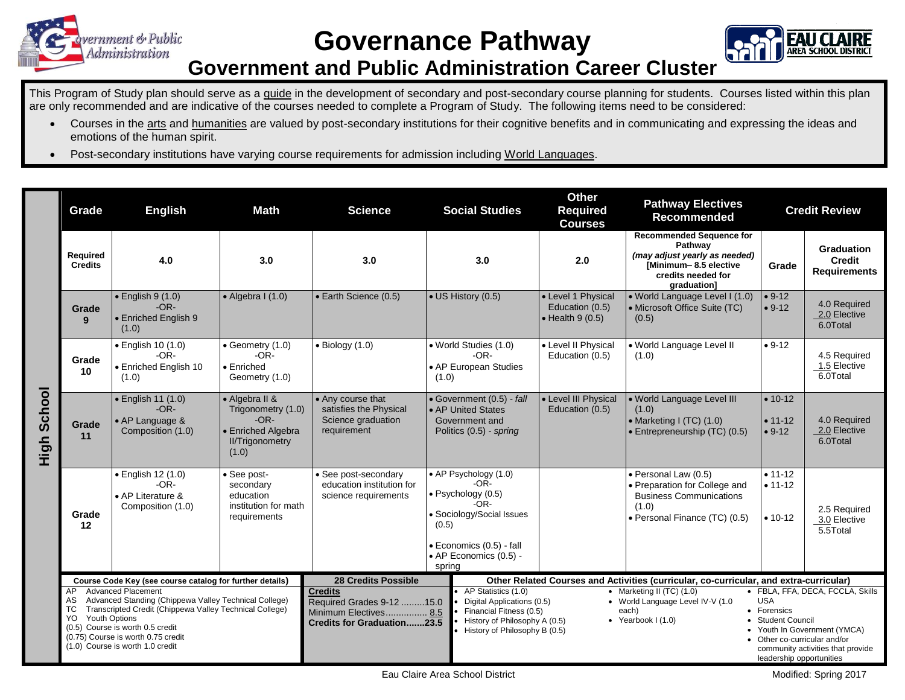

**Governance Pathway**



## **Government and Public Administration Career Cluster**

This Program of Study plan should serve as a guide in the development of secondary and post-secondary course planning for students. Courses listed within this plan are only recommended and are indicative of the courses needed to complete a Program of Study. The following items need to be considered:

- Courses in the arts and humanities are valued by post-secondary institutions for their cognitive benefits and in communicating and expressing the ideas and emotions of the human spirit.
- Post-secondary institutions have varying course requirements for admission including World Languages.

|                | Grade                                                                                                                                                                                                                                                                                                                                                                     | <b>English</b><br><b>Math</b>                                                |                                                                                                         | <b>Science</b>                                                                                                                   | <b>Social Studies</b>                                                                                                                                                 | <b>Other</b><br><b>Required</b><br><b>Courses</b>                                                                                                                                                                                                                                                                                                                                                                                                                                                                                           | <b>Pathway Electives</b><br><b>Recommended</b>                                                                                            | <b>Credit Review</b>                    |                                                           |  |
|----------------|---------------------------------------------------------------------------------------------------------------------------------------------------------------------------------------------------------------------------------------------------------------------------------------------------------------------------------------------------------------------------|------------------------------------------------------------------------------|---------------------------------------------------------------------------------------------------------|----------------------------------------------------------------------------------------------------------------------------------|-----------------------------------------------------------------------------------------------------------------------------------------------------------------------|---------------------------------------------------------------------------------------------------------------------------------------------------------------------------------------------------------------------------------------------------------------------------------------------------------------------------------------------------------------------------------------------------------------------------------------------------------------------------------------------------------------------------------------------|-------------------------------------------------------------------------------------------------------------------------------------------|-----------------------------------------|-----------------------------------------------------------|--|
|                | Required<br><b>Credits</b>                                                                                                                                                                                                                                                                                                                                                | 4.0                                                                          | 3.0                                                                                                     | 3.0                                                                                                                              | 3.0                                                                                                                                                                   | 2.0                                                                                                                                                                                                                                                                                                                                                                                                                                                                                                                                         | <b>Recommended Sequence for</b><br>Pathway<br>(may adjust yearly as needed)<br>[Minimum-8.5 elective<br>credits needed for<br>graduation] | Grade                                   | <b>Graduation</b><br><b>Credit</b><br><b>Requirements</b> |  |
|                | Grade<br>9                                                                                                                                                                                                                                                                                                                                                                | $\bullet$ English 9 (1.0)<br>$-OR-$<br>• Enriched English 9<br>(1.0)         | $\bullet$ Algebra I (1.0)                                                                               | • Earth Science (0.5)                                                                                                            | • US History (0.5)                                                                                                                                                    | • Level 1 Physical<br>Education (0.5)<br>$\bullet$ Health 9 (0.5)                                                                                                                                                                                                                                                                                                                                                                                                                                                                           | • World Language Level I (1.0)<br>• Microsoft Office Suite (TC)<br>(0.5)                                                                  | $• 9-12$<br>$• 9-12$                    | 4.0 Required<br>2.0 Elective<br>6.0Total                  |  |
| School<br>High | Grade<br>10                                                                                                                                                                                                                                                                                                                                                               | • English 10 (1.0)<br>$-OR-$<br>· Enriched English 10<br>(1.0)               | Geometry (1.0)<br>$-OR-$<br>• Enriched<br>Geometry (1.0)                                                | $\bullet$ Biology (1.0)                                                                                                          | • World Studies (1.0)<br>$-OR-$<br>• AP European Studies<br>(1.0)                                                                                                     | • Level II Physical<br>Education (0.5)                                                                                                                                                                                                                                                                                                                                                                                                                                                                                                      | · World Language Level II<br>(1.0)                                                                                                        | $• 9-12$                                | 4.5 Required<br>1.5 Elective<br>6.0Total                  |  |
|                | Grade<br>11                                                                                                                                                                                                                                                                                                                                                               | $\bullet$ English 11 (1.0)<br>$-OR-$<br>• AP Language &<br>Composition (1.0) | • Algebra II &<br>Trigonometry (1.0)<br>$-OR-$<br>• Enriched Algebra<br><b>II/Trigonometry</b><br>(1.0) | • Any course that<br>satisfies the Physical<br>Science graduation<br>requirement                                                 | • Government (0.5) - fall<br>• AP United States<br>Government and<br>Politics (0.5) - spring                                                                          | • Level III Physical<br>Education (0.5)                                                                                                                                                                                                                                                                                                                                                                                                                                                                                                     | . World Language Level III<br>(1.0)<br>• Marketing I (TC) (1.0)<br>• Entrepreneurship (TC) (0.5)                                          | $• 10-12$<br>$• 11-12$<br>$• 9-12$      | 4.0 Required<br>2.0 Elective<br>6.0Total                  |  |
|                | Grade<br>12                                                                                                                                                                                                                                                                                                                                                               | • English 12 (1.0)<br>$-OR-$<br>• AP Literature &<br>Composition (1.0)       | • See post-<br>secondary<br>education<br>institution for math<br>requirements                           | • See post-secondary<br>education institution for<br>science requirements                                                        | • AP Psychology (1.0)<br>$-OR-$<br>· Psychology (0.5)<br>$-OR-$<br>• Sociology/Social Issues<br>(0.5)<br>· Economics (0.5) - fall<br>• AP Economics (0.5) -<br>spring |                                                                                                                                                                                                                                                                                                                                                                                                                                                                                                                                             | · Personal Law (0.5)<br>• Preparation for College and<br><b>Business Communications</b><br>(1.0)<br>· Personal Finance (TC) (0.5)         | $• 11 - 12$<br>$• 11 - 12$<br>$• 10-12$ | 2.5 Required<br>3.0 Elective<br>5.5Total                  |  |
|                | Course Code Key (see course catalog for further details)<br><b>Advanced Placement</b><br>AP.<br>Advanced Standing (Chippewa Valley Technical College)<br>AS<br>Transcripted Credit (Chippewa Valley Technical College)<br>ТC<br><b>Youth Options</b><br>YO.<br>(0.5) Course is worth 0.5 credit<br>(0.75) Course is worth 0.75 credit<br>(1.0) Course is worth 1.0 credit |                                                                              |                                                                                                         | 28 Credits Possible<br><b>Credits</b><br>Required Grades 9-12 15.0<br>Minimum Electives 8.5<br><b>Credits for Graduation23.5</b> | AP Statistics (1.0)                                                                                                                                                   | Other Related Courses and Activities (curricular, co-curricular, and extra-curricular)<br>· FBLA, FFA, DECA, FCCLA, Skills<br>• Marketing II $(TC)$ $(1.0)$<br><b>USA</b><br>Digital Applications (0.5)<br>• World Language Level IV-V (1.0<br>• Forensics<br>Financial Fitness (0.5)<br>each)<br>• Yearbook $1(1.0)$<br>History of Philosophy A (0.5)<br>• Student Council<br>• Youth In Government (YMCA)<br>History of Philosophy B (0.5)<br>Other co-curricular and/or<br>community activities that provide<br>leadership opportunities |                                                                                                                                           |                                         |                                                           |  |